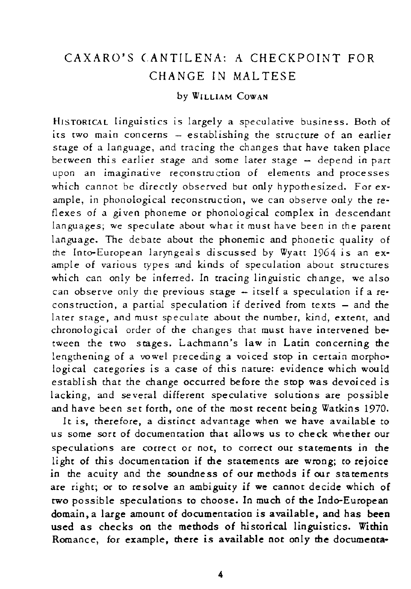## CAXARO'S CANTILENA: A CHECKPOINT FOR CHANGE IN MAL TESE

## by WILLlAM COWAN

HISTORICAL linguistics is largely a speculative business. Both of **its two main concerns - establishing the structure of an earlier**  stage of a language, and tracing the changes that have taken place **between this earlier stage and some later stage - depend in part upon an imaginative reconstruction of elements and processes**  which cannot be directly observed but only hypothesized. For example, in phonological reconstruction, we can observe only the reflexes of a given phoneme or phonological complex in descendant languages; we speculate about what it must have been in the parent language. The debate about the phonemic and phonetic quality of the Into-European laryngeals discussed by Wyatt 1964 is an example of various types and kinds of speculation about structures which can only be inferred. In tracing linguistic change, we also can observe only the previous stage - itself a speculation if a re**construction, a panial speculation if derived from texts - and the later stage, and must speculate about the number, kind, extent, and**  chronological order of the changes that must have intervened be**tween the two stages. Lachmann's law in Latin concerning me**  lengthening of a vowel preceding a voiced stop in certain morphological categories is a case of this nature: evidence which would establish that the change occurred before the stop was devoiced is lacking, and several different speculative solutions are possible and have been set forth, one of the most recent being Watkins 1970.

It is, therefore, a distinct advantage when we have available to us some sort of documentation that allows us to check whether our **speculations are correct or not, to correct our statements in the**  light of this documentation if the statements are wrong; to rejoice in the acuity and the soundness of our methods if our statements are right; or to resolve an ambiguity if **we** cannot decide which of two possible speculations to choose. In much of the Indo-European domain, a large amount of documentation *is* available, and has been used as checks on the methods of historical linguistics. Within Romance, for example, there is available not only **the** documenta-

4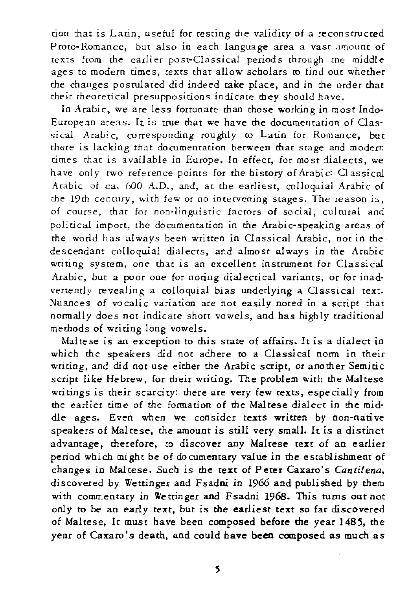tion that is Latin, useful for testing the validity of a reconstructed **P rota· Romance, but also in each language area a vast .lmounr of**  texts from the earlier post-Classical periods through the *middle*  ages to modern times, texts that allow scholars to find out whether the changes postulated did indeed take place, and in the order that their theoretical presuppositions indicate mey should have.

In Arabic, we are less fortunate than those working in most Indo-**European areas. It is true that we have the documentation of Oas**sical Arabic, corresponding roughly to Latin for Romance, but there is lacking that documentation between that stage and modern  $t$  times that is available in Europe. In effect, for most dialects, we have only two reference points for the history of Arabic: Classical Arabic of ca. 600 A.D., and, at the earliest, colloquial Arabic of the 19th century, with few or no intervening stages. The reason is, **of course, that for** non~linguis[ic **factors of** *social,* **culrural and**  political import, the documentation in the Arabic-speaking areas of the world has always been written in Classical Arabic, not in the descendant colloquial dialects, and almost always in the Arabic **writing system, one that is an excellent instrument for Classical**  Arabic, but a poor one for noting dialectical variants, or for inadvertently revealing a colloquial bias underlying a Classical text. **Nuances of vocalic variation are not easily noted in a script that**  normally does not indicate short vowels, and has high ly traditional methods of writing long vowels.

Maltese is an exception to this state of affairs. It is a dialect in which the speakers *did* not adhere to a Classical norm in their writing, and *did* not use either the Arabic script, or another Semitic script like Hebrew, for their writing. The problem with the Maltese writings is their scarcity: there are very few texts, especially from the earlier time of the formation of the Maltese dialect in the middle ages. Even when we consider texts written by non-native speakers of Maltese, the amount is still very small. It is a distinct advantage, therefore, to discover any Maltese text of an earlier period which might be of documentary value in the establishment of changes in Maltese. Such is the text of Peter Caxaro's *Cantilena,*  discovered by Wettinger and Fsadni in 1966 and published by them with commentary in Wettinger and Fsadni 1968. This turns out not only to be an early text, but is the earliest text so far discovered of Maltese, It must have been composed before me year 1485, the year of Caxaro's death, and could have been composed as much as

s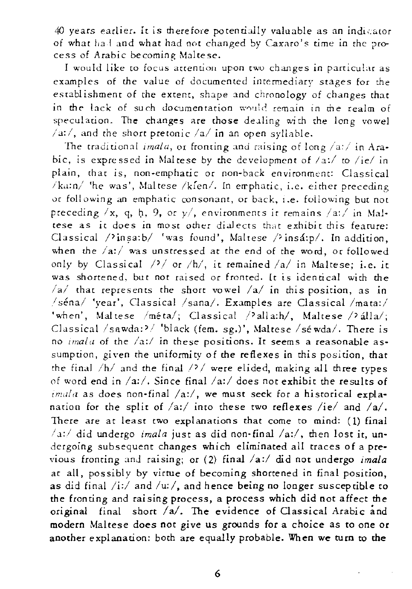40 years earlier. It is therefore potentially valuable as an indicator of what had and what had not changed by Caxaro's time in the process of Arabic becoming Maltese.

I would like to focus attention upon two changes in particular as **examples of the value of documented intermediary stages for the**  establishment of the extent, shape and chronology of changes that **in** *the* **lack of** *such* **documentation** \"'~'''),11(~ **remain in the realm of**  speculation. The changes are those dealing with the long vowel /d:/, **and the short pretonic** /a/ **in an open syILlble.** 

**The traditional** *unala,* **or frooting and raising of long** /a:/ **in Ara·**  bic, is expressed in Maltese by the development of *la:!* to *liel* in **plain, that** *is,* **non.emphatic or non-back environment: Classical /k.l:n/ 'he was', Maltese Iklen/. In errphatic, i.e. either preceding vr following an emphatic consonant, or back, I.e. following but not**  preceding  $/x$ , q, h, 9, or  $y'$ , environments it remains  $/az/$  in Mal**tese as it does in most other dialects that exhibit this feature:** Classical  $\sqrt{2}$ insa:b/ 'was found', Maltese  $\sqrt{2}$ insá:p/. In addition, when the  $/a$ :/ was unstressed at the end of the word, or followed only by Classical /<sup>2</sup>/ or /h/, it remained /a/ in Maltese; i.e. it **was shortened. but not raised or fronted. It is identical with the**   $/a$  **that represents the short vowel**  $/a$  **in this position, as in** /séna/ 'year', Classical /sana/. Examples are Classical /mata:/ 'when', Maltese /méta/; Classical /'alla:h/, Maltese /'alla/; Classical /sawda:'/ 'black (fem. sg.)', Maltese /sé wda/. There is **no** *lmala* **of the** */a:1* **in these positions. It seems a reasonable assumption, given the uniformity of the reflexes in** *this* **position, that**  the final *Ihl* and the final/'/ were elided, making all three types of word end in /a:/. Since final /a:/ does not exhibit the results of imala as does non-final /a:/, we must seek for a historical explanation for the split of /a:/ into these two reflexes /ie/ and /a/. There are at least two explanations that come to mind: (1) final / \_,,/ did undergo *imala* just as did non-final *la:l,* then lost it, undergoing subsequent changes which eliminated all traces of a previous fronting and raising; or (2) final /a:/ did not undergo *imala* at all, possibly by virtue of becoming shortened in final position, as did final /i:/ and /u:/, and hence being no longer susceptible to the fronting and raising process, a process which did not affect the original final short *la/.* The evidence of Classical Arabic and modern Maltese does not give us grounds for a choice as to one or another explanation: both are equally probable. When we **turn** to the

6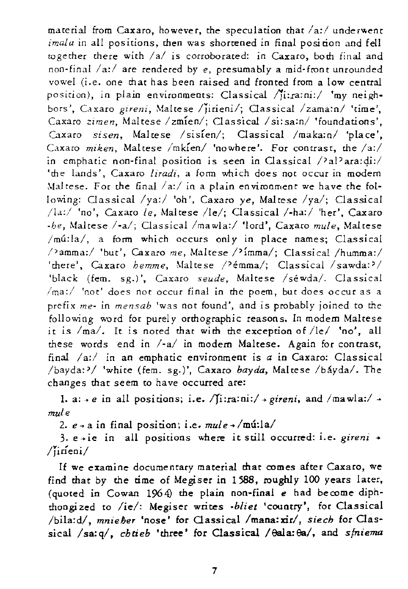material from Caxaro, however, the speculation that /a:/ underwent *imala* in all positions, then was shortened in final position and fell together there with /a/ is corroborated: in Caxaro, both final and non-final *1 a:1* are rendered *bye,* presumably a mid- fron t unrounded vowel (i.e. one that has been raised and fronted from a low central position), in plain environments: Classical /ji:ra:ni:/ 'my neighbors', Caxaro *gireni*, Maltese /jirieni/; Classical /zama:n/ 'time'. **Caxaro** *zimen,* **Maltese** *Izmlen/;* **Classical Isi:sa:n/ (foundations',**  Caxaro *sisen,* Maltese *Isisfen/;* Classical *Imaka:nl* 'place', Caxaro *miken*, Maltese /mkien/ 'nowhere'. For contrast, the /a:/ in emphatic non-final positioQ *is* seen in Classical *l'al>ara:<li:1*  'the lands', Caxaro *liradi*, a form which does not occur in modem Maltese. For the final /a:/ in a plain environment we have the following: Classical *Iya:!* 'oh', Caxaro *ye,* Maltese *Iya/;* Classical *11.1:/* 'no', Caxaro *le,* Maltese *lIe!;* Classical *l-ha:1* 'her', Caxaro *-be,* Maltese *I-a/;* Classical *Imawla:1* 'lord', Caxaro *mule,* Maltese  $/m<sub>u</sub>:la/$ , a form which occurs only in place names; Classical /'amma:/ 'but', Caxaro me, Maltese /'imma/; Classical /humma:/ 'there', Caxaro *hemme*, Maltese /'emma/; Classical /sawda:'/ 'black (fem. sg.)', Caxaro *seude,* Maltese *Isewda/.* Classical *Ima:/* **'not' does not occur final in the poem, but does occur as a**  prefix *me-* in *mensab* 'was not found', and is probably joined to the following word for purely orthographic reasons. In modern Maltese it is /ma/. It is noted that with the exception of /le/ 'no', all these words end in *I-al* in modem Maltese. Again for contrast, final *la:1* in an emphatic environment is *a* in Caxaro: Classical *Ibayda:'1* 'white (fern. sg.)', Caxaro *bayda,* Maltese *Ibayda/.* The changes that seem to have occurred are:

1. a:  $\rightarrow$  *e* in all positions; i.e.  $\sqrt{\text{i}:}$ ra:ni:/  $\rightarrow$  *gireni*, and /mawla:/  $\rightarrow$ *mule* 

2.  $e \rightarrow a$  in final position; i.e.  $mule \rightarrow /mú:la/$ 

3. e~ie in all positions where it still occurred: i.e. *gireni* <sup>7</sup> *Ijinenil* 

If we examine documentaty material that comes after Caxaro, we find that by the time of Megiser in 1588, roughly 100 years later, (quoted in Cowan 1964) the plain non-final *e* had become diphthongi zed to *lie/:* Megiser writes *-bliet* 'country', for Classical /bila:d/, mnieher 'nose' for Classical /mana:xir/, *siech* for Classical /sa:q/, chtieb 'three' for Classical / Oala: Oa/, and *s/niema*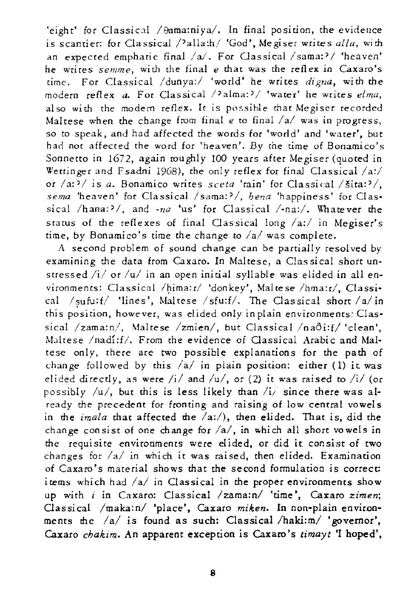'eight' for Classical /  $\theta$ ama:niya/. In final position, the evidence is scantier: for Classical /<sup>2</sup>alla:h/ 'God', Megiser writes *alla*, with an expected emphatic final *la/.* For Classical *Isama:'1* 'heaven' **he writes semme, with the final e that was the reflex in Caxaro's**  time. For Classical /dunya:/ 'world' he writes *digna*, with the modern reflex *a.* For Classical /?alma:?/ 'water' he writes *elma*, also with the modern reflex. It is possible that Megiser recorded Maltese when the change from final *e* to final *lal* was in progress, so to speak, and had affected the words for 'world' and 'water', but had not affected the word for 'heaven'. *By* the time of Bonamico's Sonnetto in 1672, again roughly 100 years after Megiser (quoted in Wettinger and Fsadni 1968), the only reflex for final Classical  $/$ a: $/$ **or /a:;>/ is** *a.* **Bonamico writes** *sceta* **Irain' for Classical /slca::>/,**  sema 'heaven' for Classical /sama:<sup>2</sup>/, *hena* 'happiness' for Classical  $/\text{hana:}$ <sup>2</sup>/, and  $\text{-}nq$  'us' for Classical  $/\text{-}nq$ :/. Whatever the status of the reflexes of final Classical long /a:/ in Megiser's time, by Bonamico's time the change to *lal was* complete.

A second problem of sound change can be partially resolved by examining the data from Caxaro. In Maltese, a Classical short unstressed /i/ or /u/ in an open initial syllable was elided in all environments: Classical /hima: r/ 'donkey', Mal te se /hma: r/, Classical *Isufu:fl* 'lines', Maltese *Isfu:f/.* The Classical short *lalin*  this position, however, was elided only in plain environments: Classical /zama:n/, Maltese /zmien/, but Classical /naôi:f/ 'clean', Maltese /nadi:f/. From the evidence of Classical Arabic and Maltese only, there are two possible explanations for the path of change followed by this /a/ in plain position: either (1) it was elided directly, as were /i/ and /u/, or (2) it was raised to /i/ (or possibly *lul,* but this is less likely than *li;* since there was already the precedent for fronting and raising of low central vowels in the *imala* that affected the *la:/),* then elided. That is, *did* the change consist of one change for /a/, in which all short vowels in the requisite environments were elided, or did it consist of two changes for *lal* in which it was raised, then elided. Examination of Caxaro's material shows that the second formulation is correct: items which had *lal* in Classical *in* the proper environments show up with *i* in Caxaro: Classical /zama:n/ 'time', Caxaro *zimen*; Classical /maka:n/ 'place', Caxaro miken. In non-plain environments the *lal is* found as such: Classical *Ihaki:m/* 'governor', Caxaro *chakim.* An apparent exception is Caxaro's *limayl* **'r** hoped',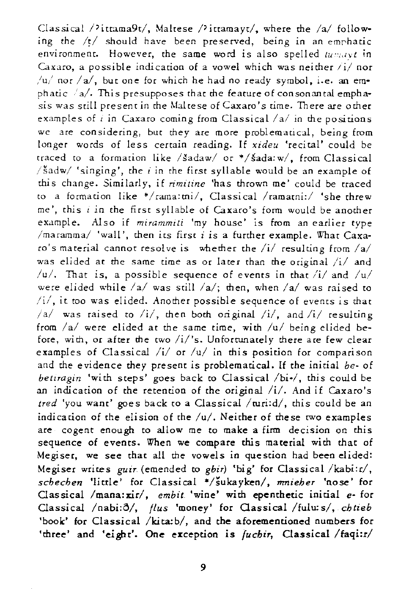Classical /<sup>2</sup>ittama9t/, Maltese /<sup>2</sup>ittamayt/, where the /a/ following the  $/t/$  should have been preserved, being in an emphatic environment. However, the same word is also spelled  $t_{\text{H}m,\text{UV}}$  in Caxaro, a possible indication of a vowel which was neither  $\frac{1}{4}$  nor /u,' not *lal,* but one for which he had no ready symbol, i.e. an emphatic  $a$ . This presupposes that the feature of consonantal emphasis was still presenrin the Maltese ofCaxaro's *time.* There are other examples of i in Caxaro coming from Classical /a/ in the positions we are considering, but they are more problematical, being from longer words of less certain reading. If *xideu* 'recital' could be traced to a formation like /šadaw/ or \*/šada: w/, from Classical  $\delta$  /  $\delta$  adw/ 'singing', the *i* in the first syllable would be an example of this change. Similarly, if *rimlline* 'has thrown me' could be traced to a formation like  $*/$ rama:tni/, Classical /ramatni:/ 'she threw me', this  $i$  in the first syllable of Caxaro's form would be another example. Also if *mirammiti* 'my house' is from an earlier type  $/$ maramma $/$  'wall', then its first  $i$  is a further example. What Caxara's material cannot resolve is whether the *lil* resulting lrom *lal*  was elided at the same time as or later than the original /i/ and *lu/.* That is, a possible sequence 01 events in that /i/ and */ul*  were elided while *lal* was still *la/;* then, when */al* was raised to *iii,* it too was elided. Another possible sequence of evenrs is that *lal* was raised to *li/,* then both original *lil,* and *lil* resulting from  $/a/$  were elided at the same time, with  $/u/$  being elided before, with, or after the two /i/'s. Unfortunately there are few clear examples of Classical /i/ or /u/ in this position for comparison and the evidence they present is problematical. If the initial *be-* of *betiragin* 'with steps' goes back to Classical /bi-/, this could be an indication of the retention of the original /i/. And if Caxaro's *tred 'you* want' goes back to a Classical *lruri:d/,* this could be an indicarion of the elision of the *lu/.* Neither of these two examples are cogent enough to allow me to make a firm decision on this sequence of events. When we compare this material with that of Megiser, we *see* that all the vowels in question had been elided: Megiser writes *guir* (emended to *gbir*) 'big' for Classical /kabi:r/, *schechen* 'little' for Classical *\*/sukayken/, rrmieher* 'nose' for Classical /mana:xir/, *embit* 'wine' with epenthetic initial *e*- for Classical /nabi: $\delta$ /, *flus* 'money' for Classical /fulu: s/, chtieb 'book' for Classical /kita: b/, and the aforementioned numbers for 'three' and 'eight'. One exception is *(uchir*, Classical /faqi:r/

9